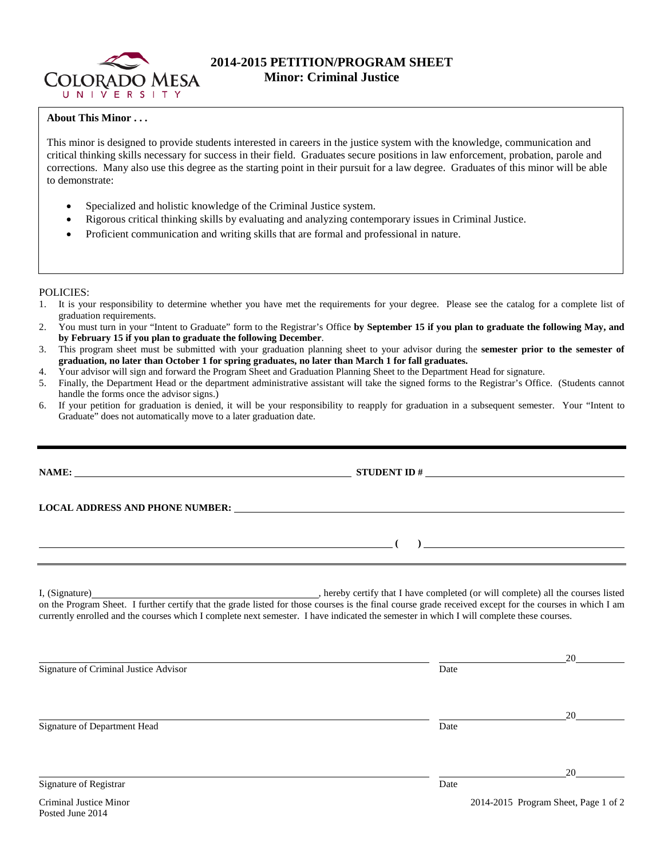

# **2014-2015 PETITION/PROGRAM SHEET Minor: Criminal Justice**

## **About This Minor . . .**

This minor is designed to provide students interested in careers in the justice system with the knowledge, communication and critical thinking skills necessary for success in their field. Graduates secure positions in law enforcement, probation, parole and corrections. Many also use this degree as the starting point in their pursuit for a law degree. Graduates of this minor will be able to demonstrate:

- Specialized and holistic knowledge of the Criminal Justice system.
- Rigorous critical thinking skills by evaluating and analyzing contemporary issues in Criminal Justice.
- Proficient communication and writing skills that are formal and professional in nature.

### POLICIES:

- 1. It is your responsibility to determine whether you have met the requirements for your degree. Please see the catalog for a complete list of graduation requirements.
- 2. You must turn in your "Intent to Graduate" form to the Registrar's Office **by September 15 if you plan to graduate the following May, and by February 15 if you plan to graduate the following December**.
- 3. This program sheet must be submitted with your graduation planning sheet to your advisor during the **semester prior to the semester of graduation, no later than October 1 for spring graduates, no later than March 1 for fall graduates.**
- 4. Your advisor will sign and forward the Program Sheet and Graduation Planning Sheet to the Department Head for signature.
- 5. Finally, the Department Head or the department administrative assistant will take the signed forms to the Registrar's Office. (Students cannot handle the forms once the advisor signs.)
- 6. If your petition for graduation is denied, it will be your responsibility to reapply for graduation in a subsequent semester. Your "Intent to Graduate" does not automatically move to a later graduation date.

|                                       | I, (Signature) (Signature) (Signature) (Signature) all the courses listed on the Program Sheet. I further certify that the grade listed for those courses is the final course grade received except for the courses in which I<br>currently enrolled and the courses which I complete next semester. I have indicated the semester in which I will complete these courses. |    |
|---------------------------------------|----------------------------------------------------------------------------------------------------------------------------------------------------------------------------------------------------------------------------------------------------------------------------------------------------------------------------------------------------------------------------|----|
| Signature of Criminal Justice Advisor | Date                                                                                                                                                                                                                                                                                                                                                                       | 20 |
| Signature of Department Head          | Date                                                                                                                                                                                                                                                                                                                                                                       | 20 |
|                                       |                                                                                                                                                                                                                                                                                                                                                                            |    |

Signature of Registrar Date Date of Registrar Date of Registrar Date of Registrar Date of Registrar Date of Registrar Date of  $\mathbb{R}$ 

20